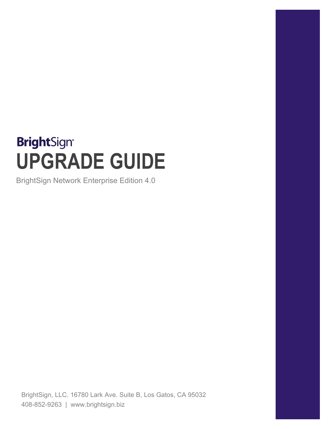# **BrightSign® UPGRADE GUIDE**

BrightSign Network Enterprise Edition 4.0

BrightSign, LLC. 16780 Lark Ave. Suite B, Los Gatos, CA 95032 408-852-9263 | www.brightsign.biz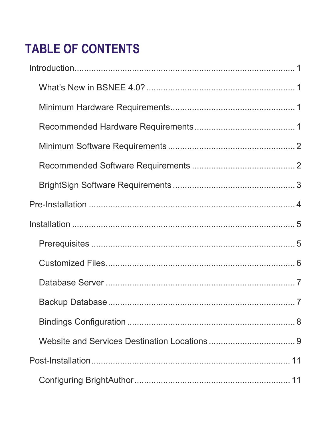## **TABLE OF CONTENTS**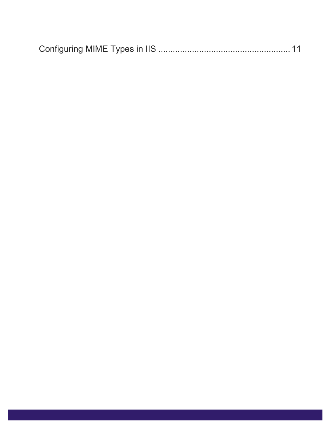|--|--|--|--|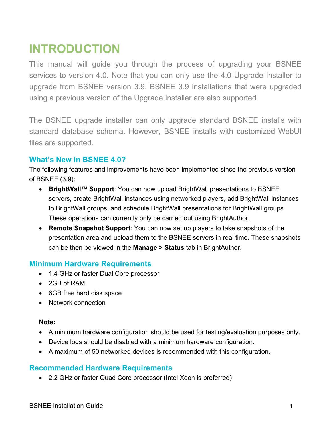### <span id="page-3-0"></span>**INTRODUCTION**

This manual will guide you through the process of upgrading your BSNEE services to version 4.0. Note that you can only use the 4.0 Upgrade Installer to upgrade from BSNEE version 3.9. BSNEE 3.9 installations that were upgraded using a previous version of the Upgrade Installer are also supported.

The BSNEE upgrade installer can only upgrade standard BSNEE installs with standard database schema. However, BSNEE installs with customized WebUI files are supported.

### <span id="page-3-1"></span>**What's New in BSNEE 4.0?**

The following features and improvements have been implemented since the previous version of BSNEE (3.9):

- **BrightWall™ Support**: You can now upload BrightWall presentations to BSNEE servers, create BrightWall instances using networked players, add BrightWall instances to BrightWall groups, and schedule BrightWall presentations for BrightWall groups. These operations can currently only be carried out using BrightAuthor.
- **Remote Snapshot Support**: You can now set up players to take snapshots of the presentation area and upload them to the BSNEE servers in real time. These snapshots can be then be viewed in the **Manage > Status** tab in BrightAuthor.

### <span id="page-3-2"></span>**Minimum Hardware Requirements**

- 1.4 GHz or faster Dual Core processor
- 2GB of RAM
- 6GB free hard disk space
- Network connection

#### **Note:**

- A minimum hardware configuration should be used for testing/evaluation purposes only.
- Device logs should be disabled with a minimum hardware configuration.
- A maximum of 50 networked devices is recommended with this configuration.

### <span id="page-3-3"></span>**Recommended Hardware Requirements**

• 2.2 GHz or faster Quad Core processor (Intel Xeon is preferred)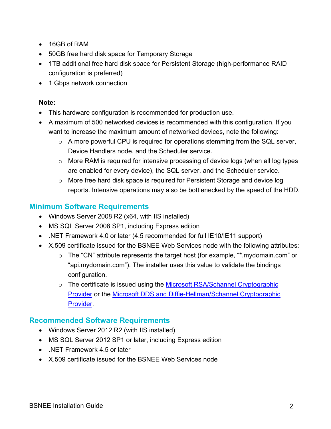- 16GB of RAM
- 50GB free hard disk space for Temporary Storage
- 1TB additional free hard disk space for Persistent Storage (high-performance RAID configuration is preferred)
- 1 Gbps network connection

#### **Note:**

- This hardware configuration is recommended for production use.
- A maximum of 500 networked devices is recommended with this configuration. If you want to increase the maximum amount of networked devices, note the following:
	- $\circ$  A more powerful CPU is required for operations stemming from the SQL server, Device Handlers node, and the Scheduler service.
	- o More RAM is required for intensive processing of device logs (when all log types are enabled for every device), the SQL server, and the Scheduler service.
	- o More free hard disk space is required for Persistent Storage and device log reports. Intensive operations may also be bottlenecked by the speed of the HDD.

### <span id="page-4-0"></span>**Minimum Software Requirements**

- Windows Server 2008 R2 (x64, with IIS installed)
- MS SQL Server 2008 SP1, including Express edition
- .NET Framework 4.0 or later (4.5 recommended for full IE10/IE11 support)
- X.509 certificate issued for the BSNEE Web Services node with the following attributes:
	- o The "CN" attribute represents the target host (for example, "\*.mydomain.com" or "api.mydomain.com"). The installer uses this value to validate the bindings configuration.
	- o The certificate is issued using the Microsoft RSA/Schannel Cryptographic [Provider](https://msdn.microsoft.com/en-us/library/windows/desktop/aa386988(v=vs.85).aspx) or the [Microsoft DDS and Diffie-Hellman/Schannel Cryptographic](https://msdn.microsoft.com/en-us/library/windows/desktop/bb394802(v=vs.85).aspx)  [Provider.](https://msdn.microsoft.com/en-us/library/windows/desktop/bb394802(v=vs.85).aspx)

### <span id="page-4-1"></span>**Recommended Software Requirements**

- Windows Server 2012 R2 (with IIS installed)
- MS SQL Server 2012 SP1 or later, including Express edition
- NFT Framework 4.5 or later
- X.509 certificate issued for the BSNEE Web Services node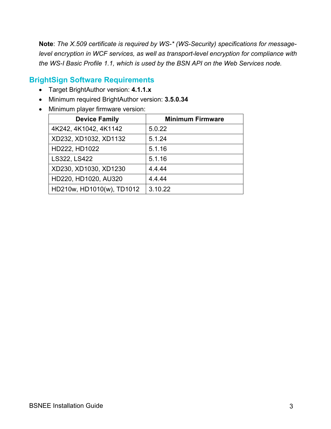**Note**: *The X.509 certificate is required by WS-\* (WS-Security) specifications for messagelevel encryption in WCF services, as well as transport-level encryption for compliance with the WS-I Basic Profile 1.1, which is used by the BSN API on the Web Services node.*

### <span id="page-5-0"></span>**BrightSign Software Requirements**

- Target BrightAuthor version: **4.1.1.x**
- Minimum required BrightAuthor version: **3.5.0.34**
- Minimum player firmware version:

| <b>Device Family</b>      | <b>Minimum Firmware</b> |
|---------------------------|-------------------------|
| 4K242, 4K1042, 4K1142     | 5.0.22                  |
| XD232, XD1032, XD1132     | 5.1.24                  |
| HD222, HD1022             | 5.1.16                  |
| LS322, LS422              | 5.1.16                  |
| XD230, XD1030, XD1230     | 4.4.44                  |
| HD220, HD1020, AU320      | 4444                    |
| HD210w, HD1010(w), TD1012 | 3.10.22                 |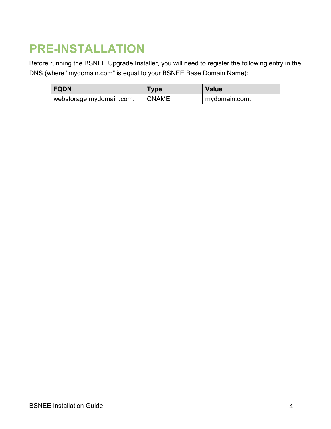### <span id="page-6-0"></span>**PRE-INSTALLATION**

Before running the BSNEE Upgrade Installer, you will need to register the following entry in the DNS (where "mydomain.com" is equal to your BSNEE Base Domain Name):

| <b>FQDN</b>              | Type         | <b>Value</b>  |
|--------------------------|--------------|---------------|
| webstorage.mydomain.com. | <b>CNAME</b> | mydomain.com. |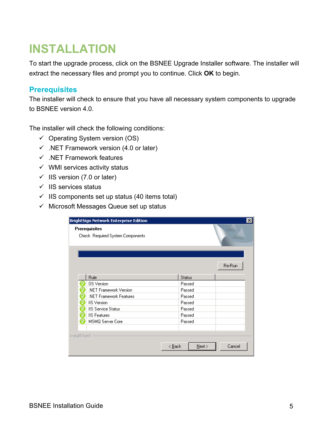### <span id="page-7-0"></span>**INSTALLATION**

To start the upgrade process, click on the BSNEE Upgrade Installer software. The installer will extract the necessary files and prompt you to continue. Click **OK** to begin.

### <span id="page-7-1"></span>**Prerequisites**

The installer will check to ensure that you have all necessary system components to upgrade to BSNEE version 4.0.

The installer will check the following conditions:

- $\checkmark$  Operating System version (OS)
- $\checkmark$  .NET Framework version (4.0 or later)
- $\checkmark$  . NET Framework features
- $\checkmark$  WMI services activity status
- $\checkmark$  IIS version (7.0 or later)
- $\checkmark$  IIS services status
- $\checkmark$  IIS components set up status (40 items total)
- $\checkmark$  Microsoft Messages Queue set up status

|               | <b>BrightSign Network Enterprise Edition</b>             |                |               | ×      |
|---------------|----------------------------------------------------------|----------------|---------------|--------|
|               | <b>Prerequisites</b><br>Check Required System Components |                |               |        |
|               |                                                          |                |               | Re-Run |
|               | Rule                                                     |                | <b>Status</b> |        |
|               | <b>OS</b> Version                                        |                | Passed        |        |
|               | .NET Framework Version                                   |                | Passed        |        |
|               | .NET Framework Features                                  |                | Passed        |        |
| ℴ             | <b>IIS</b> Version                                       |                | Passed        |        |
| a             | <b>IIS Service Status</b>                                |                | Passed        |        |
|               | <b>IIS Features</b>                                      |                | Passed        |        |
|               | MSMQ Server Core                                         |                | Passed        |        |
| InstallShield |                                                          | < <u>B</u> ack | $N$ ext >     | Cancel |
|               |                                                          |                |               |        |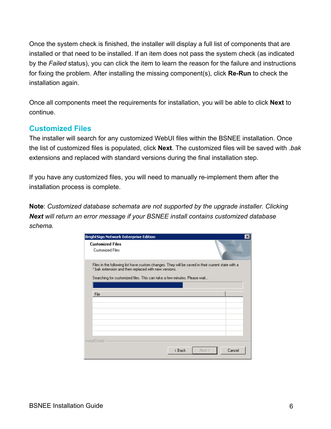Once the system check is finished, the installer will display a full list of components that are installed or that need to be installed. If an item does not pass the system check (as indicated by the *Failed* status), you can click the item to learn the reason for the failure and instructions for fixing the problem. After installing the missing component(s), click **Re-Run** to check the installation again.

Once all components meet the requirements for installation, you will be able to click **Next** to continue.

### <span id="page-8-0"></span>**Customized Files**

The installer will search for any customized WebUI files within the BSNEE installation. Once the list of customized files is populated, click **Next**. The customized files will be saved with *.bak* extensions and replaced with standard versions during the final installation step.

If you have any customized files, you will need to manually re-implement them after the installation process is complete.

**Note**: *Customized database schemata are not supported by the upgrade installer. Clicking Next will return an error message if your BSNEE install contains customized database schema.*

| <b>BrightSign Network Enterprise Edition</b>                                                                                                                                                                                          |        |                  | $\times$ |
|---------------------------------------------------------------------------------------------------------------------------------------------------------------------------------------------------------------------------------------|--------|------------------|----------|
| <b>Customized Files</b><br><b>Customized Files</b>                                                                                                                                                                                    |        |                  |          |
| Files in the following list have custom changes. They will be saved in their current state with a<br>*.bak extension and then replaced with new versions.<br>Searching for customized files. This can take a few minutes. Please wait |        |                  |          |
|                                                                                                                                                                                                                                       |        |                  |          |
| File                                                                                                                                                                                                                                  |        |                  |          |
|                                                                                                                                                                                                                                       |        |                  |          |
|                                                                                                                                                                                                                                       |        |                  |          |
| InstallShield                                                                                                                                                                                                                         | < Back | Cancel<br>Next > |          |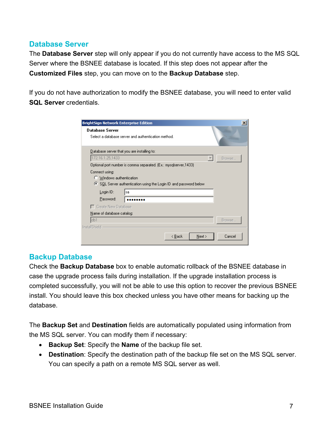### <span id="page-9-0"></span>**Database Server**

The **Database Server** step will only appear if you do not currently have access to the MS SQL Server where the BSNEE database is located. If this step does not appear after the **Customized Files** step, you can move on to the **Backup Database** step.

If you do not have authorization to modify the BSNEE database, you will need to enter valid **SQL Server** credentials.

| <b>BrightSign Network Enterprise Edition</b>                                                                        | $\boldsymbol{\mathsf{x}}$ |
|---------------------------------------------------------------------------------------------------------------------|---------------------------|
| <b>Database Server</b><br>Select a database server and authentication method.                                       |                           |
| Database server that you are installing to:                                                                         |                           |
| 172.16.1.25,1433                                                                                                    | Browse                    |
| Optional port number is comma separated. (Ex.: mysqlserver, 1433)                                                   |                           |
| Connect using:<br>C Windows authentication<br>SQL Server authentication using the Login ID and password below<br>G. |                           |
| Login ID:<br>sa                                                                                                     |                           |
| Password:                                                                                                           |                           |
| Create New Database                                                                                                 |                           |
| Name of database catalog:                                                                                           |                           |
| db1                                                                                                                 | Browse                    |
| InstallShield                                                                                                       |                           |
| < <u>B</u> ack<br>$N$ ext >                                                                                         | Cancel                    |

### <span id="page-9-1"></span>**Backup Database**

Check the **Backup Database** box to enable automatic rollback of the BSNEE database in case the upgrade process fails during installation. If the upgrade installation process is completed successfully, you will not be able to use this option to recover the previous BSNEE install. You should leave this box checked unless you have other means for backing up the database.

The **Backup Set** and **Destination** fields are automatically populated using information from the MS SQL server. You can modify them if necessary:

- **Backup Set**: Specify the **Name** of the backup file set.
- **Destination**: Specify the destination path of the backup file set on the MS SQL server. You can specify a path on a remote MS SQL server as well.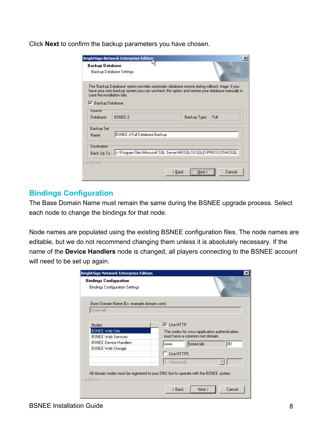Click **Next** to confirm the backup parameters you have chosen.

|                                  | <b>BrightSign Network Enterprise Edition</b><br>×                                                                                                                                               |
|----------------------------------|-------------------------------------------------------------------------------------------------------------------------------------------------------------------------------------------------|
| <b>Backup Database</b>           | Backup Database Settings                                                                                                                                                                        |
| case the installation fails.     | The 'Backup Database' option provides automatic database restore during rollback stage. If you<br>have your own backup system you can uncheck this option and restore your database manually in |
| Ⅳ Backup Database                |                                                                                                                                                                                                 |
| Source:                          |                                                                                                                                                                                                 |
| Database:                        | <b>BSNEE-2</b><br>Backup Type:<br>Full                                                                                                                                                          |
| Backup Set <sup>.</sup><br>Name: | <b>BSNEE-2-Full Database Backup</b>                                                                                                                                                             |
| Destination:                     |                                                                                                                                                                                                 |
| Back Up To:                      | c:\Program Files\Microsoft SQL Server\MSSQL10.SQLEXPRESS33\MSSQL                                                                                                                                |
| <b>InstallShield</b>             |                                                                                                                                                                                                 |
|                                  | Cancel<br>< <u>B</u> ack<br>Next >                                                                                                                                                              |

#### <span id="page-10-0"></span>**Bindings Configuration**

The Base Domain Name must remain the same during the BSNEE upgrade process. Select each node to change the bindings for that node.

Node names are populated using the existing BSNEE configuration files. The node names are editable, but we do not recommend changing them unless it is absolutely necessary. If the name of the **Device Handlers** node is changed, all players connecting to the BSNEE account will need to be set up again.

| <b>BrightSign Network Enterprise Edition</b> | ×                                              |
|----------------------------------------------|------------------------------------------------|
| <b>Bindings Configuration</b>                |                                                |
| <b>Bindings Configuration Settings</b>       |                                                |
| Base Domain Name (Ex. example.domain.com):   |                                                |
| bsnee.lab                                    |                                                |
|                                              |                                                |
| Nodes                                        | $\nabla$ Use HTTP                              |
| <b>BSNEE Web Site</b>                        | The nodes for cross-application authentication |
| <b>BSNEE Web Services</b>                    | must have a common root domain.                |
| <b>BSNEE Device Handlers</b>                 | 80<br>bsnee.lab<br><b>WWW</b>                  |
| <b>BSNEE Web Storage</b>                     |                                                |
|                                              | Use HTTPS                                      |
|                                              |                                                |
|                                              | 1. *.bsnee.lab                                 |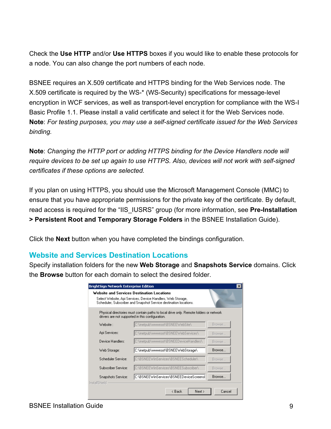Check the **Use HTTP** and/or **Use HTTPS** boxes if you would like to enable these protocols for a node. You can also change the port numbers of each node.

BSNEE requires an X.509 certificate and HTTPS binding for the Web Services node. The X.509 certificate is required by the WS-\* (WS-Security) specifications for message-level encryption in WCF services, as well as transport-level encryption for compliance with the WS-I Basic Profile 1.1. Please install a valid certificate and select it for the Web Services node. **Note**: *For testing purposes, you may use a self-signed certificate issued for the Web Services binding.*

**Note**: *Changing the HTTP port or adding HTTPS binding for the Device Handlers node will require devices to be set up again to use HTTPS. Also, devices will not work with self-signed certificates if these options are selected.*

If you plan on using HTTPS, you should use the Microsoft Management Console (MMC) to ensure that you have appropriate permissions for the private key of the certificate. By default, read access is required for the "IIS\_IUSRS" group (for more information, see **Pre-Installation > Persistent Root and Temporary Storage Folders** in the BSNEE Installation Guide).

Click the **Next** button when you have completed the bindings configuration.

### <span id="page-11-0"></span>**Website and Services Destination Locations**

Specify installation folders for the new **Web Storage** and **Snapshots Service** domains. Click the **Browse** button for each domain to select the desired folder.

|                     | Select Website, Api Services, Device Handlers, Web Storage,<br>Scheduler, Subscriber and Snapshot Service destination locations.           |        |
|---------------------|--------------------------------------------------------------------------------------------------------------------------------------------|--------|
|                     | Physical directories must contain paths to local drive only. Remote folders or network<br>drivers are not supported in this configuration. |        |
| Website :           | C:\inetpub\wwwroot\BSNEEWebSite\                                                                                                           | Browse |
| Api Services:       | C:\inetpub\wwwroot\BSNEEWebServices\                                                                                                       | Browse |
| Device Handlers:    | C:\inetpub\wwwroot\BSNEEDeviceHandlers\                                                                                                    | Browse |
| Web Storage:        | C:\inetpub\wwwroot\BSNEEWebStorage\                                                                                                        | Browse |
| Scheduler Service:  | C:\BSNEEWinServices\BSNEEScheduler\                                                                                                        | Browse |
| Subscriber Service: | C:\BSNEEWinServices\BSNEESubscriber\                                                                                                       | Browse |
| Snapshots Service:  | C:\BSNEEWinServices\BSNEEDeviceScreensl                                                                                                    | Browse |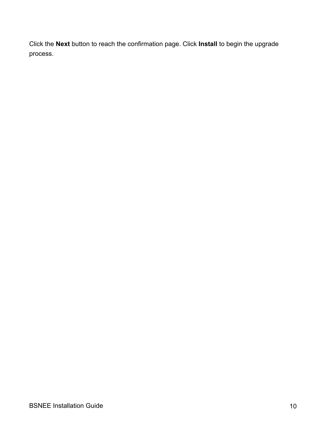Click the **Next** button to reach the confirmation page. Click **Install** to begin the upgrade process.